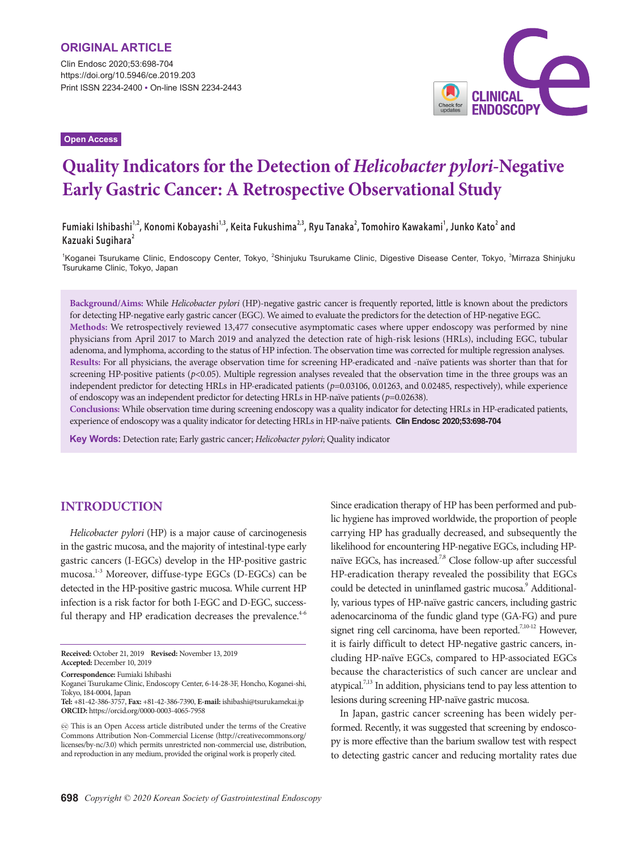Clin Endosc 2020;53:698-704 https://doi.org/10.5946/ce.2019.203 Print ISSN 2234-2400 • On-line ISSN 2234-2443

**Open Access**



# **Quality Indicators for the Detection of** *Helicobacter pylori***-Negative Early Gastric Cancer: A Retrospective Observational Study**

 $F$ umiaki Ishibashi $^{1,2}$ , Konomi Kobayashi $^{1,3}$ , Keita Fukushima $^{2,3}$ , Ryu Tanaka $^2$ , Tomohiro Kawakami $^1$ , Junko Kato $^2$  and **Kazuaki Sugihara<sup>2</sup>**

<sup>1</sup>Koganei Tsurukame Clinic, Endoscopy Center, Tokyo, <sup>2</sup>Shinjuku Tsurukame Clinic, Digestive Disease Center, Tokyo, <sup>3</sup>Mirraza Shinjuku Tsurukame Clinic, Tokyo, Japan

**Background/Aims:** While *Helicobacter pylori* (HP)-negative gastric cancer is frequently reported, little is known about the predictors for detecting HP-negative early gastric cancer (EGC). We aimed to evaluate the predictors for the detection of HP-negative EGC. **Methods:** We retrospectively reviewed 13,477 consecutive asymptomatic cases where upper endoscopy was performed by nine physicians from April 2017 to March 2019 and analyzed the detection rate of high-risk lesions (HRLs), including EGC, tubular adenoma, and lymphoma, according to the status of HP infection. The observation time was corrected for multiple regression analyses. **Results:** For all physicians, the average observation time for screening HP-eradicated and -naïve patients was shorter than that for screening HP-positive patients (*p*<0.05). Multiple regression analyses revealed that the observation time in the three groups was an independent predictor for detecting HRLs in HP-eradicated patients ( $p=0.03106$ , 0.01263, and 0.02485, respectively), while experience of endoscopy was an independent predictor for detecting HRLs in HP-naïve patients (*p*=0.02638).

**Conclusions:** While observation time during screening endoscopy was a quality indicator for detecting HRLs in HP-eradicated patients, experience of endoscopy was a quality indicator for detecting HRLs in HP-naïve patients. **Clin Endosc 2020;53:698-704**

**Key Words:** Detection rate; Early gastric cancer; *Helicobacter pylori*; Quality indicator

### **INTRODUCTION**

*Helicobacter pylori* (HP) is a major cause of carcinogenesis in the gastric mucosa, and the majority of intestinal-type early gastric cancers (I-EGCs) develop in the HP-positive gastric mucosa.1-3 Moreover, diffuse-type EGCs (D-EGCs) can be detected in the HP-positive gastric mucosa. While current HP infection is a risk factor for both I-EGC and D-EGC, successful therapy and HP eradication decreases the prevalence. $4-6$ 

**Received:** October 21, 2019 **Revised:** November 13, 2019 **Accepted:** December 10, 2019

**Correspondence:** Fumiaki Ishibashi

Koganei Tsurukame Clinic, Endoscopy Center, 6-14-28-3F, Honcho, Koganei-shi, Tokyo, 184-0004, Japan

Since eradication therapy of HP has been performed and public hygiene has improved worldwide, the proportion of people carrying HP has gradually decreased, and subsequently the likelihood for encountering HP-negative EGCs, including HPnaïve EGCs, has increased.<sup>7,8</sup> Close follow-up after successful HP-eradication therapy revealed the possibility that EGCs could be detected in uninflamed gastric mucosa.<sup>9</sup> Additionally, various types of HP-naïve gastric cancers, including gastric adenocarcinoma of the fundic gland type (GA-FG) and pure signet ring cell carcinoma, have been reported.<sup>7,10-12</sup> However, it is fairly difficult to detect HP-negative gastric cancers, including HP-naïve EGCs, compared to HP-associated EGCs because the characteristics of such cancer are unclear and atypical.<sup>7,13</sup> In addition, physicians tend to pay less attention to lesions during screening HP-naïve gastric mucosa.

In Japan, gastric cancer screening has been widely performed. Recently, it was suggested that screening by endoscopy is more effective than the barium swallow test with respect to detecting gastric cancer and reducing mortality rates due

**Tel:** +81-42-386-3757, **Fax:** +81-42-386-7390, **E-mail:** ishibashi@tsurukamekai.jp **ORCID:** https://orcid.org/0000-0003-4065-7958

cc This is an Open Access article distributed under the terms of the Creative Commons Attribution Non-Commercial License (http://creativecommons.org/ licenses/by-nc/3.0) which permits unrestricted non-commercial use, distribution, and reproduction in any medium, provided the original work is properly cited.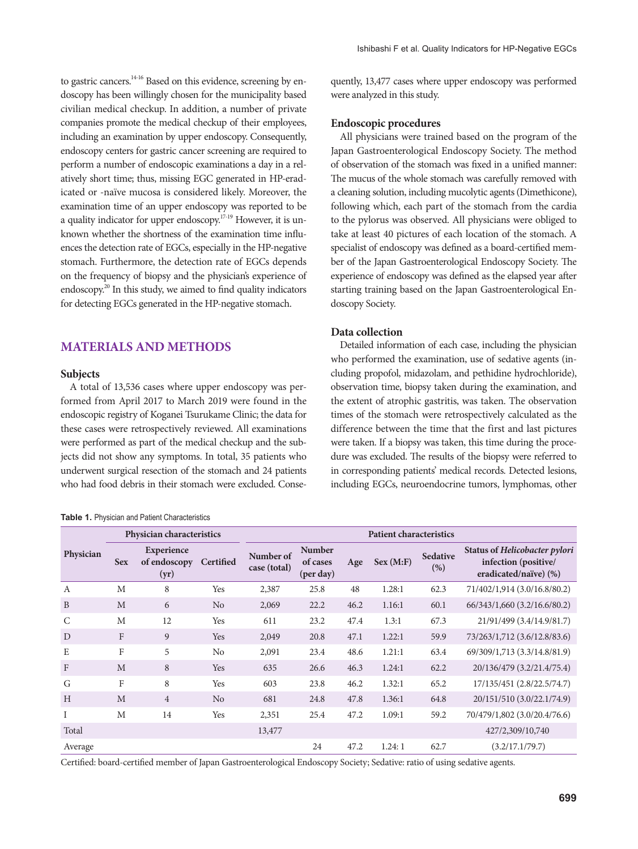to gastric cancers.<sup>14-16</sup> Based on this evidence, screening by endoscopy has been willingly chosen for the municipality based civilian medical checkup. In addition, a number of private companies promote the medical checkup of their employees, including an examination by upper endoscopy. Consequently, endoscopy centers for gastric cancer screening are required to perform a number of endoscopic examinations a day in a relatively short time; thus, missing EGC generated in HP-eradicated or -naïve mucosa is considered likely. Moreover, the examination time of an upper endoscopy was reported to be a quality indicator for upper endoscopy.<sup>17-19</sup> However, it is unknown whether the shortness of the examination time influences the detection rate of EGCs, especially in the HP-negative stomach. Furthermore, the detection rate of EGCs depends on the frequency of biopsy and the physician's experience of endoscopy.<sup>20</sup> In this study, we aimed to find quality indicators for detecting EGCs generated in the HP-negative stomach.

# **MATERIALS AND METHODS**

#### **Subjects**

A total of 13,536 cases where upper endoscopy was performed from April 2017 to March 2019 were found in the endoscopic registry of Koganei Tsurukame Clinic; the data for these cases were retrospectively reviewed. All examinations were performed as part of the medical checkup and the subjects did not show any symptoms. In total, 35 patients who underwent surgical resection of the stomach and 24 patients who had food debris in their stomach were excluded. Conse-

#### **Table 1.** Physician and Patient Characteristics

quently, 13,477 cases where upper endoscopy was performed were analyzed in this study.

#### **Endoscopic procedures**

All physicians were trained based on the program of the Japan Gastroenterological Endoscopy Society. The method of observation of the stomach was fixed in a unified manner: The mucus of the whole stomach was carefully removed with a cleaning solution, including mucolytic agents (Dimethicone), following which, each part of the stomach from the cardia to the pylorus was observed. All physicians were obliged to take at least 40 pictures of each location of the stomach. A specialist of endoscopy was defined as a board-certified member of the Japan Gastroenterological Endoscopy Society. The experience of endoscopy was defined as the elapsed year after starting training based on the Japan Gastroenterological Endoscopy Society.

### **Data collection**

Detailed information of each case, including the physician who performed the examination, use of sedative agents (including propofol, midazolam, and pethidine hydrochloride), observation time, biopsy taken during the examination, and the extent of atrophic gastritis, was taken. The observation times of the stomach were retrospectively calculated as the difference between the time that the first and last pictures were taken. If a biopsy was taken, this time during the procedure was excluded. The results of the biopsy were referred to in corresponding patients' medical records. Detected lesions, including EGCs, neuroendocrine tumors, lymphomas, other

|                | Physician characteristics |                                           |                | <b>Patient characteristics</b> |                                        |      |            |                        |                                                                                |
|----------------|---------------------------|-------------------------------------------|----------------|--------------------------------|----------------------------------------|------|------------|------------------------|--------------------------------------------------------------------------------|
| Physician      | <b>Sex</b>                | <b>Experience</b><br>of endoscopy<br>(yr) | Certified      | Number of<br>case (total)      | <b>Number</b><br>of cases<br>(per day) | Age  | Sex (M: F) | <b>Sedative</b><br>(%) | Status of Helicobacter pylori<br>infection (positive/<br>eradicated/naïve) (%) |
| $\overline{A}$ | M                         | 8                                         | <b>Yes</b>     | 2,387                          | 25.8                                   | 48   | 1.28:1     | 62.3                   | 71/402/1,914 (3.0/16.8/80.2)                                                   |
| B              | M                         | 6                                         | No             | 2,069                          | 22.2                                   | 46.2 | 1.16:1     | 60.1                   | 66/343/1,660 (3.2/16.6/80.2)                                                   |
| C              | M                         | 12                                        | Yes            | 611                            | 23.2                                   | 47.4 | 1.3:1      | 67.3                   | 21/91/499 (3.4/14.9/81.7)                                                      |
| D              | F                         | 9                                         | Yes            | 2,049                          | 20.8                                   | 47.1 | 1.22:1     | 59.9                   | 73/263/1,712 (3.6/12.8/83.6)                                                   |
| E              | F                         | 5                                         | No             | 2,091                          | 23.4                                   | 48.6 | 1.21:1     | 63.4                   | 69/309/1,713 (3.3/14.8/81.9)                                                   |
| $\mathbf{F}$   | M                         | 8                                         | Yes            | 635                            | 26.6                                   | 46.3 | 1.24:1     | 62.2                   | 20/136/479 (3.2/21.4/75.4)                                                     |
| G              | F                         | 8                                         | Yes            | 603                            | 23.8                                   | 46.2 | 1.32:1     | 65.2                   | 17/135/451 (2.8/22.5/74.7)                                                     |
| H              | M                         | $\overline{4}$                            | N <sub>0</sub> | 681                            | 24.8                                   | 47.8 | 1.36:1     | 64.8                   | 20/151/510 (3.0/22.1/74.9)                                                     |
| T              | M                         | 14                                        | Yes            | 2,351                          | 25.4                                   | 47.2 | 1.09:1     | 59.2                   | 70/479/1,802 (3.0/20.4/76.6)                                                   |
| Total          |                           |                                           |                | 13,477                         |                                        |      |            |                        | 427/2,309/10,740                                                               |
| Average        |                           |                                           |                |                                | 24                                     | 47.2 | 1.24:1     | 62.7                   | (3.2/17.1/79.7)                                                                |

Certified: board-certified member of Japan Gastroenterological Endoscopy Society; Sedative: ratio of using sedative agents.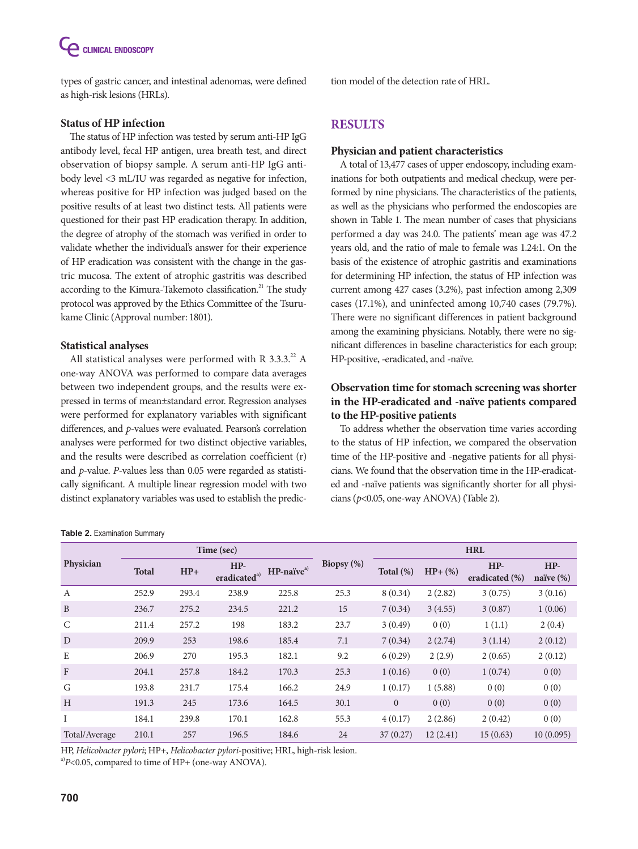types of gastric cancer, and intestinal adenomas, were defined as high-risk lesions (HRLs).

### **Status of HP infection**

The status of HP infection was tested by serum anti-HP IgG antibody level, fecal HP antigen, urea breath test, and direct observation of biopsy sample. A serum anti-HP IgG antibody level <3 mL/IU was regarded as negative for infection, whereas positive for HP infection was judged based on the positive results of at least two distinct tests. All patients were questioned for their past HP eradication therapy. In addition, the degree of atrophy of the stomach was verified in order to validate whether the individual's answer for their experience of HP eradication was consistent with the change in the gastric mucosa. The extent of atrophic gastritis was described according to the Kimura-Takemoto classification.<sup>21</sup> The study protocol was approved by the Ethics Committee of the Tsurukame Clinic (Approval number: 1801).

### **Statistical analyses**

All statistical analyses were performed with R  $3.3.3.^{22}$  A one-way ANOVA was performed to compare data averages between two independent groups, and the results were expressed in terms of mean±standard error. Regression analyses were performed for explanatory variables with significant differences, and *p*-values were evaluated. Pearson's correlation analyses were performed for two distinct objective variables, and the results were described as correlation coefficient (r) and *p*-value. *P*-values less than 0.05 were regarded as statistically significant. A multiple linear regression model with two distinct explanatory variables was used to establish the predic-

#### **Table 2.** Examination Summary

tion model of the detection rate of HRL.

## **RESULTS**

#### **Physician and patient characteristics**

A total of 13,477 cases of upper endoscopy, including examinations for both outpatients and medical checkup, were performed by nine physicians. The characteristics of the patients, as well as the physicians who performed the endoscopies are shown in Table 1. The mean number of cases that physicians performed a day was 24.0. The patients' mean age was 47.2 years old, and the ratio of male to female was 1.24:1. On the basis of the existence of atrophic gastritis and examinations for determining HP infection, the status of HP infection was current among 427 cases (3.2%), past infection among 2,309 cases (17.1%), and uninfected among 10,740 cases (79.7%). There were no significant differences in patient background among the examining physicians. Notably, there were no significant differences in baseline characteristics for each group; HP-positive, -eradicated, and -naïve.

## **Observation time for stomach screening was shorter in the HP-eradicated and -naïve patients compared to the HP-positive patients**

To address whether the observation time varies according to the status of HP infection, we compared the observation time of the HP-positive and -negative patients for all physicians. We found that the observation time in the HP-eradicated and -naïve patients was significantly shorter for all physicians (*p*<0.05, one-way ANOVA) (Table 2).

|               |              |       | Time (sec)                        |                           | Biopsy (%) | <b>HRL</b>   |           |                         |                       |
|---------------|--------------|-------|-----------------------------------|---------------------------|------------|--------------|-----------|-------------------------|-----------------------|
| Physician     | <b>Total</b> | $HP+$ | $HP-$<br>eradicated <sup>a)</sup> | $HP$ -naïve <sup>a)</sup> |            | Total (%)    | $HP+$ (%) | $HP-$<br>eradicated (%) | $HP-$<br>naïve $(\%)$ |
| $\mathbf{A}$  | 252.9        | 293.4 | 238.9                             | 225.8                     | 25.3       | 8(0.34)      | 2(2.82)   | 3(0.75)                 | 3(0.16)               |
| $\mathbf{B}$  | 236.7        | 275.2 | 234.5                             | 221.2                     | 15         | 7(0.34)      | 3(4.55)   | 3(0.87)                 | 1(0.06)               |
| $\mathcal{C}$ | 211.4        | 257.2 | 198                               | 183.2                     | 23.7       | 3(0.49)      | 0(0)      | 1(1.1)                  | 2(0.4)                |
| D             | 209.9        | 253   | 198.6                             | 185.4                     | 7.1        | 7(0.34)      | 2(2.74)   | 3(1.14)                 | 2(0.12)               |
| E             | 206.9        | 270   | 195.3                             | 182.1                     | 9.2        | 6(0.29)      | 2(2.9)    | 2(0.65)                 | 2(0.12)               |
| $\mathbf{F}$  | 204.1        | 257.8 | 184.2                             | 170.3                     | 25.3       | 1(0.16)      | 0(0)      | 1(0.74)                 | 0(0)                  |
| G             | 193.8        | 231.7 | 175.4                             | 166.2                     | 24.9       | 1(0.17)      | 1(5.88)   | 0(0)                    | 0(0)                  |
| H             | 191.3        | 245   | 173.6                             | 164.5                     | 30.1       | $\mathbf{0}$ | 0(0)      | 0(0)                    | 0(0)                  |
| I             | 184.1        | 239.8 | 170.1                             | 162.8                     | 55.3       | 4(0.17)      | 2(2.86)   | 2(0.42)                 | 0(0)                  |
| Total/Average | 210.1        | 257   | 196.5                             | 184.6                     | 24         | 37(0.27)     | 12(2.41)  | 15(0.63)                | 10(0.095)             |

HP, *Helicobacter pylori*; HP+, *Helicobacter pylori*-positive; HRL, high-risk lesion.

<sup>a)</sup> $P$ <0.05, compared to time of HP+ (one-way ANOVA).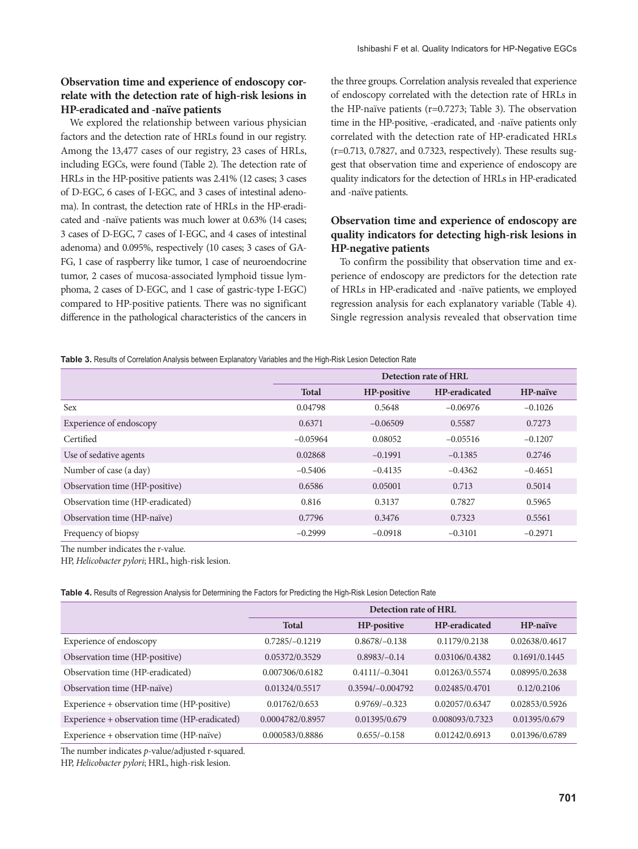### **Observation time and experience of endoscopy correlate with the detection rate of high-risk lesions in HP-eradicated and -naïve patients**

We explored the relationship between various physician factors and the detection rate of HRLs found in our registry. Among the 13,477 cases of our registry, 23 cases of HRLs, including EGCs, were found (Table 2). The detection rate of HRLs in the HP-positive patients was 2.41% (12 cases; 3 cases of D-EGC, 6 cases of I-EGC, and 3 cases of intestinal adenoma). In contrast, the detection rate of HRLs in the HP-eradicated and -naïve patients was much lower at 0.63% (14 cases; 3 cases of D-EGC, 7 cases of I-EGC, and 4 cases of intestinal adenoma) and 0.095%, respectively (10 cases; 3 cases of GA-FG, 1 case of raspberry like tumor, 1 case of neuroendocrine tumor, 2 cases of mucosa-associated lymphoid tissue lymphoma, 2 cases of D-EGC, and 1 case of gastric-type I-EGC) compared to HP-positive patients. There was no significant difference in the pathological characteristics of the cancers in

the three groups. Correlation analysis revealed that experience of endoscopy correlated with the detection rate of HRLs in the HP-naïve patients (r=0.7273; Table 3). The observation time in the HP-positive, -eradicated, and -naïve patients only correlated with the detection rate of HP-eradicated HRLs (r=0.713, 0.7827, and 0.7323, respectively). These results suggest that observation time and experience of endoscopy are quality indicators for the detection of HRLs in HP-eradicated and -naïve patients.

### **Observation time and experience of endoscopy are quality indicators for detecting high-risk lesions in HP-negative patients**

To confirm the possibility that observation time and experience of endoscopy are predictors for the detection rate of HRLs in HP-eradicated and -naïve patients, we employed regression analysis for each explanatory variable (Table 4). Single regression analysis revealed that observation time

**Table 3.** Results of Correlation Analysis between Explanatory Variables and the High-Risk Lesion Detection Rate

|                                  | Detection rate of HRL |             |               |           |
|----------------------------------|-----------------------|-------------|---------------|-----------|
|                                  | <b>Total</b>          | HP-positive | HP-eradicated | HP-naïve  |
| <b>Sex</b>                       | 0.04798               | 0.5648      | $-0.06976$    | $-0.1026$ |
| Experience of endoscopy          | 0.6371                | $-0.06509$  | 0.5587        | 0.7273    |
| Certified                        | $-0.05964$            | 0.08052     | $-0.05516$    | $-0.1207$ |
| Use of sedative agents           | 0.02868               | $-0.1991$   | $-0.1385$     | 0.2746    |
| Number of case (a day)           | $-0.5406$             | $-0.4135$   | $-0.4362$     | $-0.4651$ |
| Observation time (HP-positive)   | 0.6586                | 0.05001     | 0.713         | 0.5014    |
| Observation time (HP-eradicated) | 0.816                 | 0.3137      | 0.7827        | 0.5965    |
| Observation time (HP-naïve)      | 0.7796                | 0.3476      | 0.7323        | 0.5561    |
| Frequency of biopsy              | $-0.2999$             | $-0.0918$   | $-0.3101$     | $-0.2971$ |

The number indicates the r-value.

HP, *Helicobacter pylori*; HRL, high-risk lesion.

**Table 4.** Results of Regression Analysis for Determining the Factors for Predicting the High-Risk Lesion Detection Rate

|                                               | Detection rate of HRL |                    |                      |                |  |
|-----------------------------------------------|-----------------------|--------------------|----------------------|----------------|--|
|                                               | <b>Total</b>          | HP-positive        | <b>HP-eradicated</b> | HP-naïve       |  |
| Experience of endoscopy                       | $0.7285/-0.1219$      | $0.8678/-0.138$    | 0.1179/0.2138        | 0.02638/0.4617 |  |
| Observation time (HP-positive)                | 0.05372/0.3529        | $0.8983/-0.14$     | 0.03106/0.4382       | 0.1691/0.1445  |  |
| Observation time (HP-eradicated)              | 0.007306/0.6182       | $0.4111/-0.3041$   | 0.01263/0.5574       | 0.08995/0.2638 |  |
| Observation time (HP-naïve)                   | 0.01324/0.5517        | $0.3594/-0.004792$ | 0.02485/0.4701       | 0.12/0.2106    |  |
| Experience + observation time (HP-positive)   | 0.01762/0.653         | $0.9769/-0.323$    | 0.02057/0.6347       | 0.02853/0.5926 |  |
| Experience + observation time (HP-eradicated) | 0.0004782/0.8957      | 0.01395/0.679      | 0.008093/0.7323      | 0.01395/0.679  |  |
| Experience + observation time (HP-naïve)      | 0.000583/0.8886       | $0.655/-0.158$     | 0.01242/0.6913       | 0.01396/0.6789 |  |

The number indicates *p*-value/adjusted r-squared.

HP, *Helicobacter pylori*; HRL, high-risk lesion.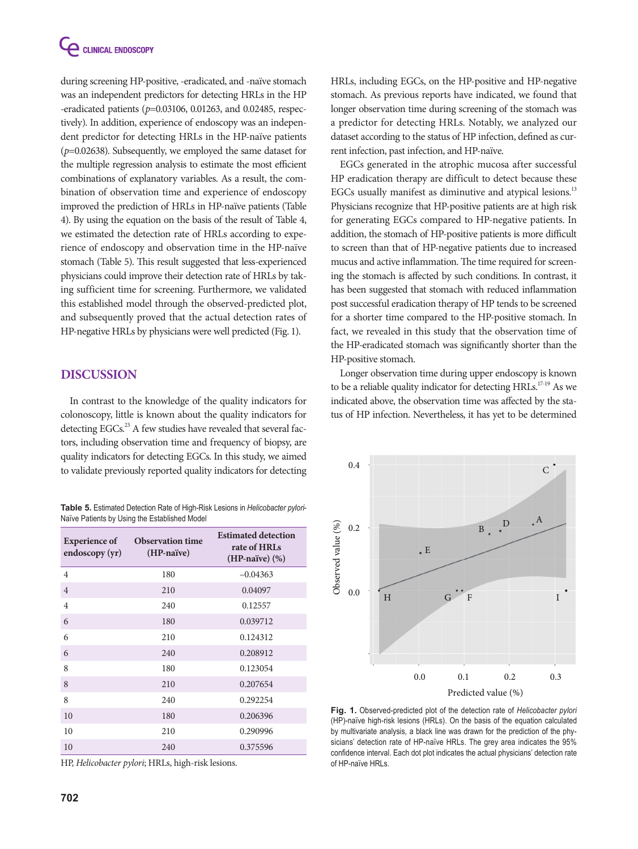during screening HP-positive, -eradicated, and -naïve stomach was an independent predictors for detecting HRLs in the HP -eradicated patients (*p*=0.03106, 0.01263, and 0.02485, respectively). In addition, experience of endoscopy was an independent predictor for detecting HRLs in the HP-naïve patients (*p*=0.02638). Subsequently, we employed the same dataset for the multiple regression analysis to estimate the most efficient combinations of explanatory variables. As a result, the combination of observation time and experience of endoscopy improved the prediction of HRLs in HP-naïve patients (Table 4). By using the equation on the basis of the result of Table 4, we estimated the detection rate of HRLs according to experience of endoscopy and observation time in the HP-naïve stomach (Table 5). This result suggested that less-experienced physicians could improve their detection rate of HRLs by taking sufficient time for screening. Furthermore, we validated this established model through the observed-predicted plot, and subsequently proved that the actual detection rates of HP-negative HRLs by physicians were well predicted (Fig. 1).

# **DISCUSSION**

In contrast to the knowledge of the quality indicators for colonoscopy, little is known about the quality indicators for detecting EGCs. $^{23}$  A few studies have revealed that several factors, including observation time and frequency of biopsy, are quality indicators for detecting EGCs. In this study, we aimed to validate previously reported quality indicators for detecting

**Table 5.** Estimated Detection Rate of High-Risk Lesions in *Helicobacter pylori*-Naïve Patients by Using the Established Model

| <b>Experience of</b><br>endoscopy (yr) | <b>Observation time</b><br>(HP-naïve) | <b>Estimated detection</b><br>rate of HRLs<br>$(HP-naive)$ $(\%)$ |
|----------------------------------------|---------------------------------------|-------------------------------------------------------------------|
| $\overline{4}$                         | 180                                   | $-0.04363$                                                        |
| $\overline{4}$                         | 210                                   | 0.04097                                                           |
| $\overline{4}$                         | 240                                   | 0.12557                                                           |
| 6                                      | 180                                   | 0.039712                                                          |
| 6                                      | 210                                   | 0.124312                                                          |
| 6                                      | 240                                   | 0.208912                                                          |
| 8                                      | 180                                   | 0.123054                                                          |
| 8                                      | 210                                   | 0.207654                                                          |
| 8                                      | 240                                   | 0.292254                                                          |
| 10                                     | 180                                   | 0.206396                                                          |
| 10                                     | 210                                   | 0.290996                                                          |
| 10                                     | 240                                   | 0.375596                                                          |

HP, *Helicobacter pylori*; HRLs, high-risk lesions.

HRLs, including EGCs, on the HP-positive and HP-negative stomach. As previous reports have indicated, we found that longer observation time during screening of the stomach was a predictor for detecting HRLs. Notably, we analyzed our dataset according to the status of HP infection, defined as current infection, past infection, and HP-naïve.

EGCs generated in the atrophic mucosa after successful HP eradication therapy are difficult to detect because these EGCs usually manifest as diminutive and atypical lesions.<sup>13</sup> Physicians recognize that HP-positive patients are at high risk for generating EGCs compared to HP-negative patients. In addition, the stomach of HP-positive patients is more difficult to screen than that of HP-negative patients due to increased mucus and active inflammation. The time required for screening the stomach is affected by such conditions. In contrast, it has been suggested that stomach with reduced inflammation post successful eradication therapy of HP tends to be screened for a shorter time compared to the HP-positive stomach. In fact, we revealed in this study that the observation time of the HP-eradicated stomach was significantly shorter than the HP-positive stomach.

Longer observation time during upper endoscopy is known to be a reliable quality indicator for detecting  $HRLs$ <sup>17-19</sup> As we indicated above, the observation time was affected by the status of HP infection. Nevertheless, it has yet to be determined



**Fig. 1.** Observed-predicted plot of the detection rate of *Helicobacter pylori*  (HP)-naïve high-risk lesions (HRLs). On the basis of the equation calculated by multivariate analysis, a black line was drawn for the prediction of the physicians' detection rate of HP-naïve HRLs. The grey area indicates the 95% confidence interval. Each dot plot indicates the actual physicians' detection rate of HP-naïve HRLs.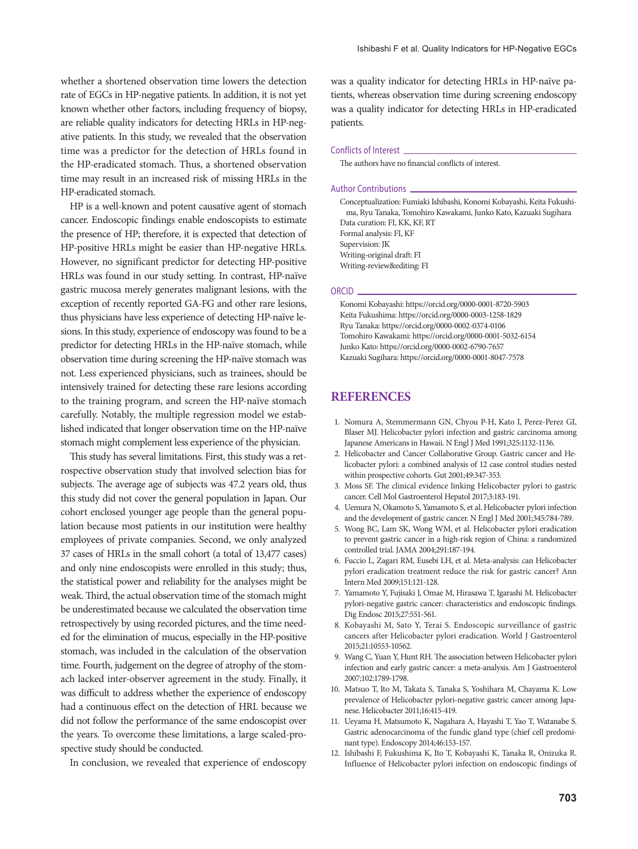whether a shortened observation time lowers the detection rate of EGCs in HP-negative patients. In addition, it is not yet known whether other factors, including frequency of biopsy, are reliable quality indicators for detecting HRLs in HP-negative patients. In this study, we revealed that the observation time was a predictor for the detection of HRLs found in the HP-eradicated stomach. Thus, a shortened observation time may result in an increased risk of missing HRLs in the HP-eradicated stomach.

HP is a well-known and potent causative agent of stomach cancer. Endoscopic findings enable endoscopists to estimate the presence of HP; therefore, it is expected that detection of HP-positive HRLs might be easier than HP-negative HRLs. However, no significant predictor for detecting HP-positive HRLs was found in our study setting. In contrast, HP-naïve gastric mucosa merely generates malignant lesions, with the exception of recently reported GA-FG and other rare lesions, thus physicians have less experience of detecting HP-naïve lesions. In this study, experience of endoscopy was found to be a predictor for detecting HRLs in the HP-naïve stomach, while observation time during screening the HP-naïve stomach was not. Less experienced physicians, such as trainees, should be intensively trained for detecting these rare lesions according to the training program, and screen the HP-naïve stomach carefully. Notably, the multiple regression model we established indicated that longer observation time on the HP-naïve stomach might complement less experience of the physician.

This study has several limitations. First, this study was a retrospective observation study that involved selection bias for subjects. The average age of subjects was 47.2 years old, thus this study did not cover the general population in Japan. Our cohort enclosed younger age people than the general population because most patients in our institution were healthy employees of private companies. Second, we only analyzed 37 cases of HRLs in the small cohort (a total of 13,477 cases) and only nine endoscopists were enrolled in this study; thus, the statistical power and reliability for the analyses might be weak. Third, the actual observation time of the stomach might be underestimated because we calculated the observation time retrospectively by using recorded pictures, and the time needed for the elimination of mucus, especially in the HP-positive stomach, was included in the calculation of the observation time. Fourth, judgement on the degree of atrophy of the stomach lacked inter-observer agreement in the study. Finally, it was difficult to address whether the experience of endoscopy had a continuous effect on the detection of HRL because we did not follow the performance of the same endoscopist over the years. To overcome these limitations, a large scaled-prospective study should be conducted.

In conclusion, we revealed that experience of endoscopy

was a quality indicator for detecting HRLs in HP-naïve patients, whereas observation time during screening endoscopy was a quality indicator for detecting HRLs in HP-eradicated patients.

#### Conflicts of Interest

The authors have no financial conflicts of interest.

#### Author Contributions

Conceptualization: Fumiaki Ishibashi, Konomi Kobayashi, Keita Fukushima, Ryu Tanaka, Tomohiro Kawakami, Junko Kato, Kazuaki Sugihara Data curation: FI, KK, KF, RT Formal analysis: FI, KF Supervision: JK Writing-original draft: FI Writing-review&editing: FI

#### ORCID

Konomi Kobayashi: https://orcid.org/0000-0001-8720-5903 Keita Fukushima: https://orcid.org/0000-0003-1258-1829 Ryu Tanaka: https://orcid.org/0000-0002-0374-0106 Tomohiro Kawakami: https://orcid.org/0000-0001-5032-6154 Junko Kato: https://orcid.org/0000-0002-6790-7657 Kazuaki Sugihara: https://orcid.org/0000-0001-8047-7578

### **REFERENCES**

- 1. Nomura A, Stemmermann GN, Chyou P-H, Kato I, Perez-Perez GI, Blaser MJ. Helicobacter pylori infection and gastric carcinoma among Japanese Americans in Hawaii. N Engl J Med 1991;325:1132-1136.
- 2. Helicobacter and Cancer Collaborative Group. Gastric cancer and Helicobacter pylori: a combined analysis of 12 case control studies nested within prospective cohorts. Gut 2001;49:347-353.
- 3. Moss SF. The clinical evidence linking Helicobacter pylori to gastric cancer. Cell Mol Gastroenterol Hepatol 2017;3:183-191.
- 4. Uemura N, Okamoto S, Yamamoto S, et al. Helicobacter pylori infection and the development of gastric cancer. N Engl J Med 2001;345:784-789.
- 5. Wong BC, Lam SK, Wong WM, et al. Helicobacter pylori eradication to prevent gastric cancer in a high-risk region of China: a randomized controlled trial. JAMA 2004;291:187-194.
- 6. Fuccio L, Zagari RM, Eusebi LH, et al. Meta-analysis: can Helicobacter pylori eradication treatment reduce the risk for gastric cancer? Ann Intern Med 2009;151:121-128.
- 7. Yamamoto Y, Fujisaki J, Omae M, Hirasawa T, Igarashi M. Helicobacter pylori-negative gastric cancer: characteristics and endoscopic findings. Dig Endosc 2015;27:551-561.
- 8. Kobayashi M, Sato Y, Terai S. Endoscopic surveillance of gastric cancers after Helicobacter pylori eradication. World J Gastroenterol 2015;21:10553-10562.
- 9. Wang C, Yuan Y, Hunt RH. The association between Helicobacter pylori infection and early gastric cancer: a meta-analysis. Am J Gastroenterol 2007;102:1789-1798.
- 10. Matsuo T, Ito M, Takata S, Tanaka S, Yoshihara M, Chayama K. Low prevalence of Helicobacter pylori-negative gastric cancer among Japanese. Helicobacter 2011;16:415-419.
- 11. Ueyama H, Matsumoto K, Nagahara A, Hayashi T, Yao T, Watanabe S. Gastric adenocarcinoma of the fundic gland type (chief cell predominant type). Endoscopy 2014;46:153-157.
- 12. Ishibashi F, Fukushima K, Ito T, Kobayashi K, Tanaka R, Onizuka R. Influence of Helicobacter pylori infection on endoscopic findings of